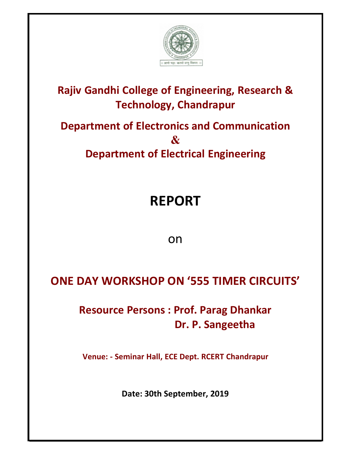

### **Rajiv Gandhi College of Engineering, Research & Technology, Chandrapur**

## **Department of Electronics and Communication & Department of Electrical Engineering**

# **REPORT**

on

### **ONE DAY WORKSHOP ON '555 TIMER CIRCUITS'**

#### **Resource Persons : Prof. Parag Dhankar Dr. P. Sangeetha**

**Venue: - Seminar Hall, ECE Dept. RCERT Chandrapur**

**Date: 30th September, 2019**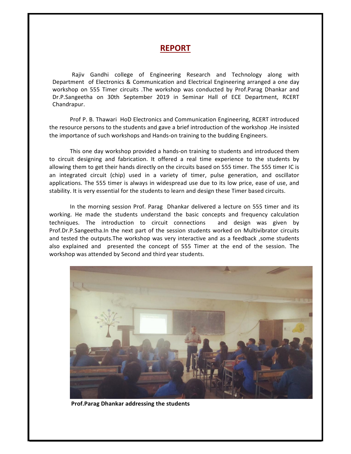#### **REPORT**

Rajiv Gandhi college of Engineering Research and Technology along with Department of Electronics & Communication and Electrical Engineering arranged a one day workshop on 555 Timer circuits .The workshop was conducted by Prof.Parag Dhankar and Dr.P.Sangeetha on 30th September 2019 in Seminar Hall of ECE Department, RCERT Chandrapur.

Prof P. B. Thawari HoD Electronics and Communication Engineering, RCERT introduced the resource persons to the students and gave a brief introduction of the workshop .He insisted the importance of such workshops and Hands-on training to the budding Engineers.

This one day workshop provided a hands-on training to students and introduced them to circuit designing and fabrication. It offered a real time experience to the students by allowing them to get their hands directly on the circuits based on 555 timer. The 555 timer IC is an integrated circuit (chip) used in a variety of timer, pulse generation, and oscillator applications. The 555 timer is always in widespread use due to its low price, ease of use, and stability. It is very essential for the students to learn and design these Timer based circuits.

In the morning session Prof. Parag Dhankar delivered a lecture on 555 timer and its working. He made the students understand the basic concepts and frequency calculation techniques. The introduction to circuit connections and design was given by Prof.Dr.P.Sangeetha.In the next part of the session students worked on Multivibrator circuits and tested the outputs. The workshop was very interactive and as a feedback, some students also explained and presented the concept of 555 Timer at the end of the session. The workshop was attended by Second and third year students.



 **Prof.Parag Dhankar addressing the students**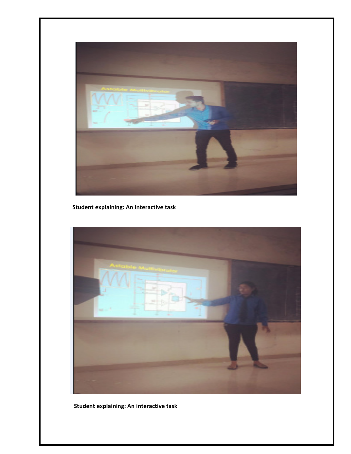

**Student explaining: An interactive task**



**Student explaining: An interactive task**